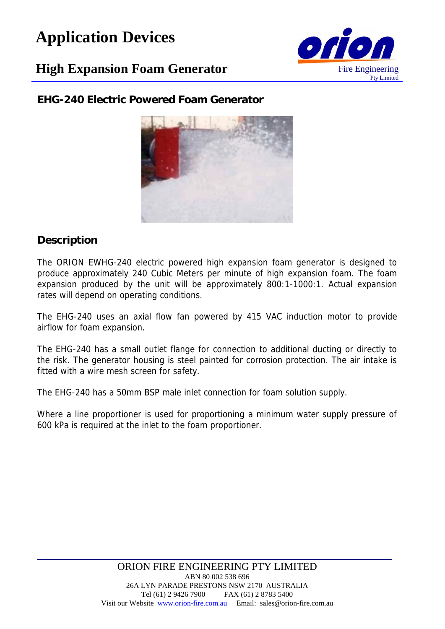# **Application Devices**

## **High Expansion Foam Generator** Fire Engineering



**EHG-240 Electric Powered Foam Generator**



#### **Description**

The ORION EWHG-240 electric powered high expansion foam generator is designed to produce approximately 240 Cubic Meters per minute of high expansion foam. The foam expansion produced by the unit will be approximately 800:1-1000:1. Actual expansion rates will depend on operating conditions.

The EHG-240 uses an axial flow fan powered by 415 VAC induction motor to provide airflow for foam expansion.

The EHG-240 has a small outlet flange for connection to additional ducting or directly to the risk. The generator housing is steel painted for corrosion protection. The air intake is fitted with a wire mesh screen for safety.

The EHG-240 has a 50mm BSP male inlet connection for foam solution supply.

Where a line proportioner is used for proportioning a minimum water supply pressure of 600 kPa is required at the inlet to the foam proportioner.